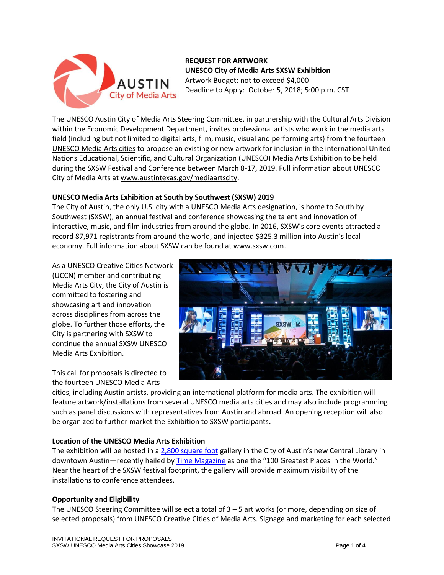

**REQUEST FOR ARTWORK UNESCO City of Media Arts SXSW Exhibition** Artwork Budget: not to exceed \$4,000 Deadline to Apply: October 5, 2018; 5:00 p.m. CST

The UNESCO Austin City of Media Arts Steering Committee, in partnership with the Cultural Arts Division within the Economic Development Department, invites professional artists who work in the media arts field (including but not limited to digital arts, film, music, visual and performing arts) from the fourteen [UNESCO Media Arts cities](https://en.unesco.org/creative-cities/home) to propose an existing or new artwork for inclusion in the international United Nations Educational, Scientific, and Cultural Organization (UNESCO) Media Arts Exhibition to be held during the SXSW Festival and Conference between March 8-17, 2019. Full information about UNESCO City of Media Arts at [www.austintexas.gov/mediaartscity.](http://www.austintexas.gov/mediaartscity)

# **UNESCO Media Arts Exhibition at South by Southwest (SXSW) 2019**

The City of Austin, the only U.S. city with a UNESCO Media Arts designation, is home to South by Southwest (SXSW), an annual festival and conference showcasing the talent and innovation of interactive, music, and film industries from around the globe. In 2016, SXSW's core events attracted a record 87,971 registrants from around the world, and injected \$325.3 million into Austin's local economy. Full information about SXSW can be found at [www.sxsw.com.](http://www.sxsw.com/)

As a UNESCO Creative Cities Network (UCCN) member and contributing Media Arts City, the City of Austin is committed to fostering and showcasing art and innovation across disciplines from across the globe. To further those efforts, the City is partnering with SXSW to continue the annual SXSW UNESCO Media Arts Exhibition.

This call for proposals is directed to the fourteen UNESCO Media Arts



cities, including Austin artists, providing an international platform for media arts. The exhibition will feature artwork/installations from several UNESCO media arts cities and may also include programming such as panel discussions with representatives from Austin and abroad. An opening reception will also be organized to further market the Exhibition to SXSW participants**.** 

# **Location of the UNESCO Media Arts Exhibition**

The exhibition will be hosted in [a 2,800 square foot](https://library.austintexas.gov/central/gallery) gallery in the City of Austin's new Central Library in downtown Austin—recently hailed by [Time Magazine](http://time.com/collection/worlds-greatest-places-2018/5359176/austin-central-library-texas/) as one the "100 Greatest Places in the World." Near the heart of the SXSW festival footprint, the gallery will provide maximum visibility of the installations to conference attendees.

# **Opportunity and Eligibility**

The UNESCO Steering Committee will select a total of 3 – 5 art works (or more, depending on size of selected proposals) from UNESCO Creative Cities of Media Arts. Signage and marketing for each selected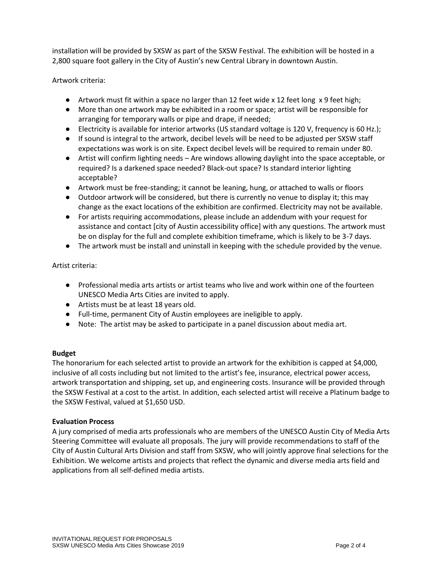installation will be provided by SXSW as part of the SXSW Festival. The exhibition will be hosted in a 2,800 square foot gallery in the City of Austin's new Central Library in downtown Austin.

Artwork criteria:

- Artwork must fit within a space no larger than 12 feet wide x 12 feet long x 9 feet high;
- More than one artwork may be exhibited in a room or space; artist will be responsible for arranging for temporary walls or pipe and drape, if needed;
- Electricity is available for interior artworks (US standard voltage is 120 V, frequency is 60 Hz.);
- If sound is integral to the artwork, decibel levels will be need to be adjusted per SXSW staff expectations was work is on site. Expect decibel levels will be required to remain under 80.
- Artist will confirm lighting needs Are windows allowing daylight into the space acceptable, or required? Is a darkened space needed? Black-out space? Is standard interior lighting acceptable?
- Artwork must be free-standing; it cannot be leaning, hung, or attached to walls or floors
- Outdoor artwork will be considered, but there is currently no venue to display it; this may change as the exact locations of the exhibition are confirmed. Electricity may not be available.
- For artists requiring accommodations, please include an addendum with your request for assistance and contact [city of Austin accessibility office] with any questions. The artwork must be on display for the full and complete exhibition timeframe, which is likely to be 3-7 days.
- The artwork must be install and uninstall in keeping with the schedule provided by the venue.

Artist criteria:

- Professional media arts artists or artist teams who live and work within one of the fourteen UNESCO Media Arts Cities are invited to apply.
- Artists must be at least 18 years old.
- Full-time, permanent City of Austin employees are ineligible to apply.
- Note: The artist may be asked to participate in a panel discussion about media art.

### **Budget**

The honorarium for each selected artist to provide an artwork for the exhibition is capped at \$4,000, inclusive of all costs including but not limited to the artist's fee, insurance, electrical power access, artwork transportation and shipping, set up, and engineering costs. Insurance will be provided through the SXSW Festival at a cost to the artist. In addition, each selected artist will receive a Platinum badge to the SXSW Festival, valued at \$1,650 USD.

### **Evaluation Process**

A jury comprised of media arts professionals who are members of the UNESCO Austin City of Media Arts Steering Committee will evaluate all proposals. The jury will provide recommendations to staff of the City of Austin Cultural Arts Division and staff from SXSW, who will jointly approve final selections for the Exhibition. We welcome artists and projects that reflect the dynamic and diverse media arts field and applications from all self-defined media artists.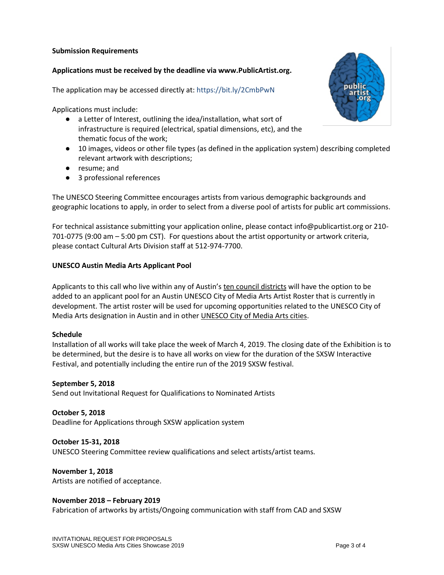#### **Submission Requirements**

### **Applications must be received by the deadline via www.PublicArtist.org.**

The application may be accessed directly at: https://bit.ly/2CmbPwN

Applications must include:

- a Letter of Interest, outlining the idea/installation, what sort of infrastructure is required (electrical, spatial dimensions, etc), and the thematic focus of the work;
- 10 images, videos or other file types (as defined in the application system) describing completed relevant artwork with descriptions;
- resume; and
- 3 professional references

The UNESCO Steering Committee encourages artists from various demographic backgrounds and geographic locations to apply, in order to select from a diverse pool of artists for public art commissions.

For technical assistance submitting your application online, please contact info@publicartist.org or 210- 701-0775 (9:00 am – 5:00 pm CST). For questions about the artist opportunity or artwork criteria, please contact Cultural Arts Division staff at 512-974-7700.

### **UNESCO Austin Media Arts Applicant Pool**

Applicants to this call who live within any of Austin's [ten council districts](http://www.austintexas.gov/GIS/CouncilDistrictMap/) will have the option to be added to an applicant pool for an Austin UNESCO City of Media Arts Artist Roster that is currently in development. The artist roster will be used for upcoming opportunities related to the UNESCO City of Media Arts designation in Austin and in other [UNESCO City of Media Arts cities.](https://en.unesco.org/creative-cities/home)

### **Schedule**

Installation of all works will take place the week of March 4, 2019. The closing date of the Exhibition is to be determined, but the desire is to have all works on view for the duration of the SXSW Interactive Festival, and potentially including the entire run of the 2019 SXSW festival.

#### **September 5, 2018**

Send out Invitational Request for Qualifications to Nominated Artists

#### **October 5, 2018**

Deadline for Applications through SXSW application system

#### **October 15-31, 2018**

UNESCO Steering Committee review qualifications and select artists/artist teams.

### **November 1, 2018**

Artists are notified of acceptance.

### **November 2018 – February 2019**

Fabrication of artworks by artists/Ongoing communication with staff from CAD and SXSW